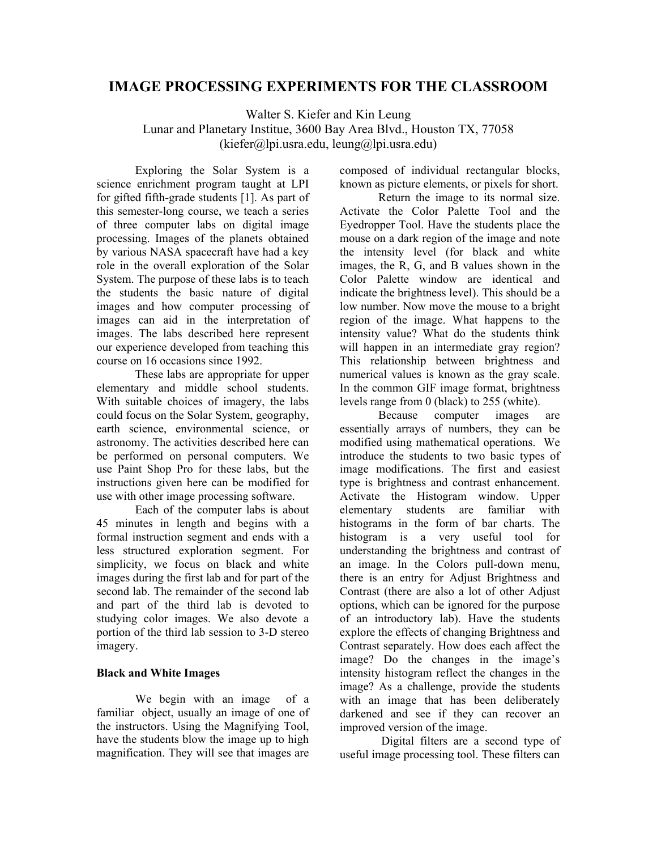# **IMAGE PROCESSING EXPERIMENTS FOR THE CLASSROOM**

Walter S. Kiefer and Kin Leung Lunar and Planetary Institue, 3600 Bay Area Blvd., Houston TX, 77058  $(kiefer@lni.usra.edu, leune@lni.usra.edu)$ 

Exploring the Solar System is a science enrichment program taught at LPI for gifted fifth-grade students [1]. As part of this semester-long course, we teach a series of three computer labs on digital image processing. Images of the planets obtained by various NASA spacecraft have had a key role in the overall exploration of the Solar System. The purpose of these labs is to teach the students the basic nature of digital images and how computer processing of images can aid in the interpretation of images. The labs described here represent our experience developed from teaching this course on 16 occasions since 1992.

These labs are appropriate for upper elementary and middle school students. With suitable choices of imagery, the labs could focus on the Solar System, geography, earth science, environmental science, or astronomy. The activities described here can be performed on personal computers. We use Paint Shop Pro for these labs, but the instructions given here can be modified for use with other image processing software.

Each of the computer labs is about 45 minutes in length and begins with a formal instruction segment and ends with a less structured exploration segment. For simplicity, we focus on black and white images during the first lab and for part of the second lab. The remainder of the second lab and part of the third lab is devoted to studying color images. We also devote a portion of the third lab session to 3-D stereo imagery.

## **Black and White Images**

We begin with an image of a familiar object, usually an image of one of the instructors. Using the Magnifying Tool, have the students blow the image up to high magnification. They will see that images are

composed of individual rectangular blocks, known as picture elements, or pixels for short.

Return the image to its normal size. Activate the Color Palette Tool and the Eyedropper Tool. Have the students place the mouse on a dark region of the image and note the intensity level (for black and white images, the R, G, and B values shown in the Color Palette window are identical and indicate the brightness level). This should be a low number. Now move the mouse to a bright region of the image. What happens to the intensity value? What do the students think will happen in an intermediate gray region? This relationship between brightness and numerical values is known as the gray scale. In the common GIF image format, brightness levels range from 0 (black) to 255 (white).

Because computer images are essentially arrays of numbers, they can be modified using mathematical operations. We introduce the students to two basic types of image modifications. The first and easiest type is brightness and contrast enhancement. Activate the Histogram window. Upper elementary students are familiar with histograms in the form of bar charts. The histogram is a very useful tool for understanding the brightness and contrast of an image. In the Colors pull-down menu, there is an entry for Adjust Brightness and Contrast (there are also a lot of other Adjust options, which can be ignored for the purpose of an introductory lab). Have the students explore the effects of changing Brightness and Contrast separately. How does each affect the image? Do the changes in the image's intensity histogram reflect the changes in the image? As a challenge, provide the students with an image that has been deliberately darkened and see if they can recover an improved version of the image.

 Digital filters are a second type of useful image processing tool. These filters can